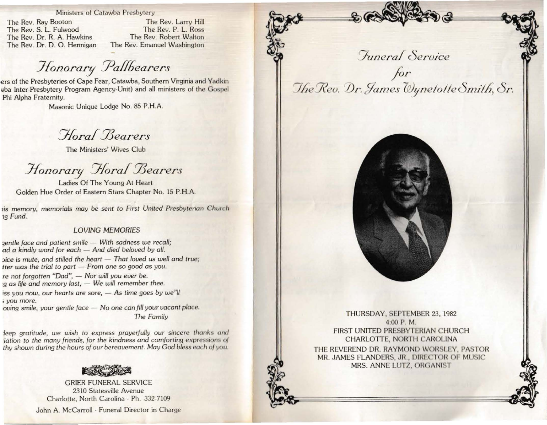Ministers of Catawba Presbytery

The Rev. Ray Booton The Rev. S. L. Fulwood The Rev. Dr. R. A. Hawkins The Rev. Dr. D. O. Hennigan

The Rev. Larry Hill The Rev. P. L. Ross The Rev. Robert Walton The Rev. Emanuel Washington

Honorary Pallbearers

ers of the Presbyteries of Cape Fear, Catawba, Southern Virginia and Yadkin yba Inter-Presbytery Program Agency-Unit) and all ministers of the Gospel Phi Alpha Fraternity.

Masonic Unique Lodge No. 85 P.H.A.

Horal Bearers

The Ministers' Wives Club

Honorary Horal Bearers

Ladies Of The Young At Heart Golden Hue Order of Eastern Stars Chapter No. 15 P.H.A.

is memory, memorials may be sent to First United Presbyterian Church ng Fund.

## **LOVING MEMORIES**

gentle face and patient smile - With sadness we recall; ad a kindly word for each - And died beloved by all.

pice is mute, and stilled the heart - That loved us well and true; tter was the trial to part - From one so good as you.

re not forgotten "Dad", - Nor will you ever be. g as life and memory last, - We will remember thee.

iss you now, our hearts are sore, - As time goes by we"ll *s* vou more.

oving smile, your gentle face - No one can fill your vacant place. The Family

leep gratitude, we wish to express prayerfully our sincere thanks and iation to the many friends, for the kindness and comforting expressions of thy shown during the hours of our bereavement. May God bless each of you.



**GRIER FUNERAL SERVICE** 2310 Statesville Avenue Charlotte, North Carolina - Ph. 332-7109

John A. McCarroll - Funeral Director in Charge

*Funeral* Service for The Rev. Dr. James Dynetotte Smith, Sr.



THURSDAY, SEPTEMBER 23, 1982 4:00 P.M. FIRST UNITED PRESBYTERIAN CHURCH CHARLOTTE, NORTH CAROLINA THE REVEREND DR. RAYMOND WORSLEY, PASTOR MR. JAMES FLANDERS, JR., DIRECTOR OF MUSIC MRS. ANNE LUTZ, ORGANIST